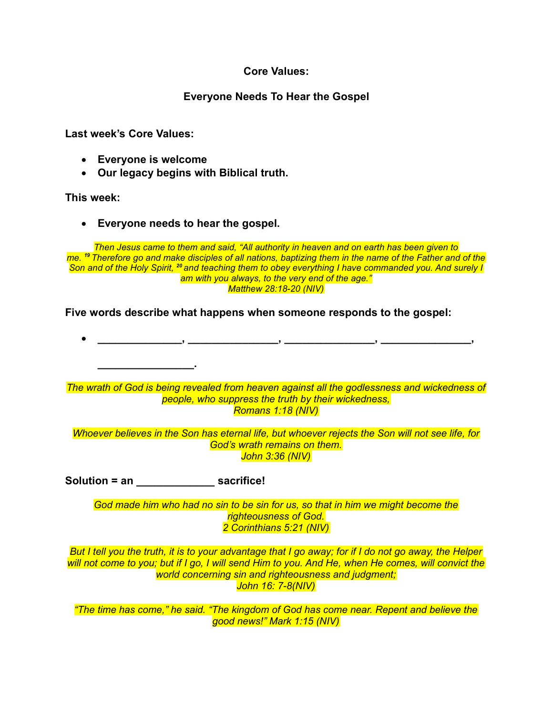# **Core Values:**

# **Everyone Needs To Hear the Gospel**

**Last week's Core Values:**

- **Everyone is welcome**
- **nur legacy begins with Biblical truth.**

## **This week:**

• **Everyone needs to hear the gospel.**

*Then Jesus came to them and said, "All authority in heaven and on earth has been given to me. <sup>19</sup> Therefore go and make disciples of all nations, baptizing them in the name of the Father and of the Son and of the Holy Spirit, <sup>20</sup> and teaching them to obey everything I have commanded you. And surely I am with you always, to the very end of the age." Matthew 28:18-20 (NIV)*

**Five words describe what happens when someone responds to the gospel:**

• **\_\_\_\_\_\_\_\_\_\_\_\_\_\_, \_\_\_\_\_\_\_\_\_\_\_\_\_\_\_, \_\_\_\_\_\_\_\_\_\_\_\_\_\_\_, \_\_\_\_\_\_\_\_\_\_\_\_\_\_\_, \_\_\_\_\_\_\_\_\_\_\_\_\_\_\_\_.** *The wrath of God is being revealed from heaven against all the godlessness and wickedness of people, who suppress the truth by their wickedness, Romans 1:18 (NIV) Whoever believes in the Son has eternal life, but whoever rejects the Son will not see life, for God's wrath remains on them. John 3:36 (NIV)* **Solution = an \_\_\_\_\_\_\_\_\_\_\_\_\_ sacrifice!** *God made him who had no sin to be sin for us, so that in him we might become the righteousness of God. 2 Corinthians 5:21 (NIV) But I tell you the truth, it is to your advantage that I go away; for if I do not go away, the Helper will not come to you; but if I go, I will send Him to you. And He, when He comes, will convict the world concerning sin and righteousness and judgment; John 16: 7-8(NIV) "The time has come," he said. "The kingdom of God has come near. Repent and believe the good news!" Mark 1:15 (NIV)*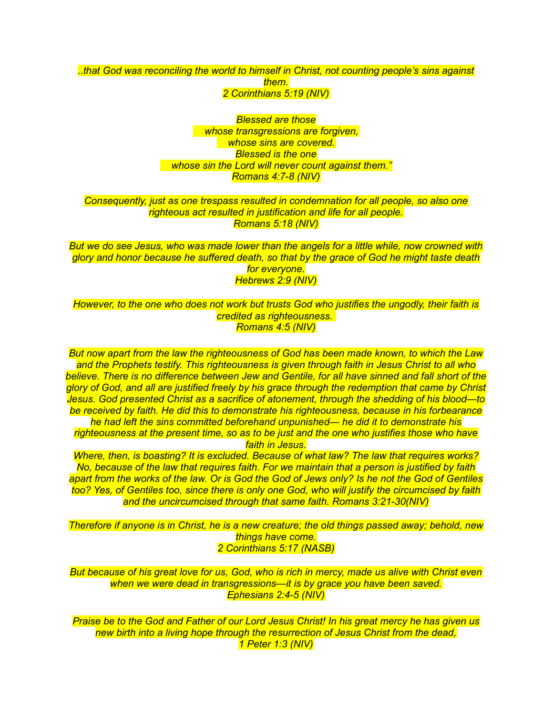#### *..that God was reconciling the world to himself in Christ, not counting people's sins against them. 2 Corinthians 5:19 (NIV)*

*Blessed are those whose transgressions are forgiven, whose sins are covered. Blessed is the one whose sin the Lord will never count against them." Romans 4:7-8 (NIV)*

### *Consequently, just as one trespass resulted in condemnation for all people, so also one righteous act resulted in justification and life for all people. Romans 5:18 (NIV)*

*But we do see Jesus, who was made lower than the angels for a little while, now crowned with glory and honor because he suffered death, so that by the grace of God he might taste death for everyone. Hebrews 2:9 (NIV)*

*However, to the one who does not work but trusts God who justifies the ungodly, their faith is credited as righteousness. Romans 4:5 (NIV)*

*But now apart from the law the righteousness of God has been made known, to which the Law and the Prophets testify. This righteousness is given through faith in Jesus Christ to all who believe. There is no difference between Jew and Gentile, for all have sinned and fall short of the glory of God, and all are justified freely by his grace through the redemption that came by Christ Jesus. God presented Christ as a sacrifice of atonement, through the shedding of his blood—to be received by faith. He did this to demonstrate his righteousness, because in his forbearance* 

*he had left the sins committed beforehand unpunished— he did it to demonstrate his righteousness at the present time, so as to be just and the one who justifies those who have faith in Jesus.*

*Where, then, is boasting? It is excluded. Because of what law? The law that requires works? No, because of the law that requires faith. For we maintain that a person is justified by faith apart from the works of the law. Or is God the God of Jews only? Is he not the God of Gentiles too? Yes, of Gentiles too, since there is only one God, who will justify the circumcised by faith and the uncircumcised through that same faith. Romans 3:21-30(NIV)*

*Therefore if anyone is in Christ, he is a new creature; the old things passed away; behold, new things have come. 2 Corinthians 5:17 (NASB)*

*But because of his great love for us, God, who is rich in mercy, made us alive with Christ even when we were dead in transgressions—it is by grace you have been saved. Ephesians 2:4-5 (NIV)*

*Praise be to the God and Father of our Lord Jesus Christ! In his great mercy he has given us new birth into a living hope through the resurrection of Jesus Christ from the dead, 1 Peter 1:3 (NIV)*